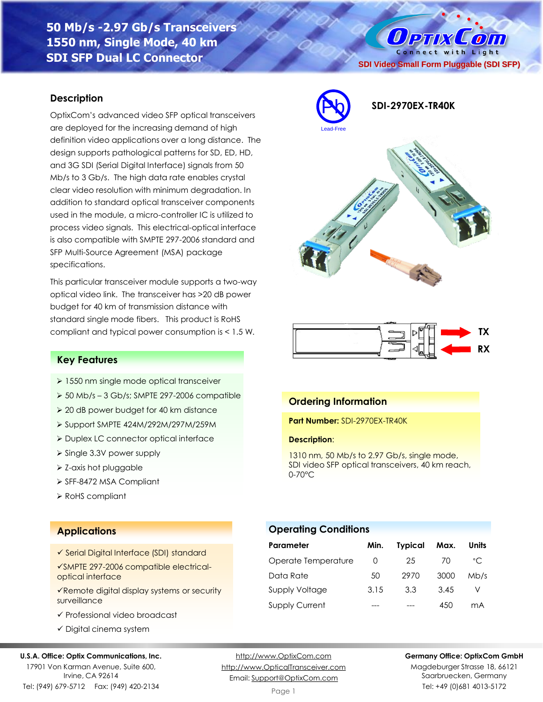**50 Mb/s -2.97 Gb/s Transceivers 1550 nm, Single Mode, 40 km SDI SFP Dual LC Connector**

### **Description**

OptixCom's advanced video SFP optical transceivers are deployed for the increasing demand of high definition video applications over a long distance. The design supports pathological patterns for SD, ED, HD, and 3G SDI (Serial Digital Interface) signals from 50 Mb/s to 3 Gb/s. The high data rate enables crystal clear video resolution with minimum degradation. In addition to standard optical transceiver components used in the module, a micro-controller IC is utilized to process video signals. This electrical-optical interface is also compatible with SMPTE 297-2006 standard and SFP Multi-Source Agreement (MSA) package specifications.

This particular transceiver module supports a two-way optical video link. The transceiver has >20 dB power budget for 40 km of transmission distance with standard single mode fibers. This product is RoHS compliant and typical power consumption is < 1.5 W.

## **Key Features**

- ➢ 1550 nm single mode optical transceiver
- ➢ 50 Mb/s 3 Gb/s; SMPTE 297-2006 compatible
- ➢ 20 dB power budget for 40 km distance
- ➢ Support SMPTE 424M/292M/297M/259M
- ➢ Duplex LC connector optical interface
- ➢ Single 3.3V power supply
- ➢ Z-axis hot pluggable
- ➢ SFF-8472 MSA Compliant
- ➢ RoHS compliant

## **Applications**

- ✓ Serial Digital Interface (SDI) standard
- ✓SMPTE 297-2006 compatible electricaloptical interface
- ✓Remote digital display systems or security surveillance
- ✓ Professional video broadcast
- ✓ Digital cinema system

### **U.S.A. Office: Optix Communications, Inc.**

17901 Von Karman Avenue, Suite 600, Irvine, CA 92614 Tel: (949) 679-5712 Fax: (949) 420-2134

[http://www.OptixCom.com](http://www.optixcom.com/) [http://www.OpticalTransceiver.com](http://www.optoictech.com/) Email: [Support@OptixCom.com](mailto:Support@optoICtech.com)

Page 1

### **Germany Office: OptixCom GmbH**

**TX RX**

Magdeburger Strasse 18, 66121 Saarbruecken, Germany Tel: +49 (0)681 4013-5172



**Operating Conditions**

| Parameter             | Min. | <b>Typical</b> | Max. | <b>Units</b> |
|-----------------------|------|----------------|------|--------------|
| Operate Temperature   | O    | 25             | 70   | °C           |
| Data Rate             | 50   | 2970           | 3000 | Mb/s         |
| <b>Supply Voltage</b> | 3.15 | 3.3            | 3.45 |              |
| <b>Supply Current</b> |      |                | 450  | mА           |

### **Ordering Information**

Pb

Lead-Free

**Part Number:** SDI-2970EX-TR40K

1310 nm, 50 Mb/s to 2.97 Gb/s, single mode, SDI video SFP optical transceivers, 40 km reach, 0-70°C







 $0$  PTIX  $\overline{O}$ Connect with Light **SDI Video Small Form Pluggable (SDI SFP)**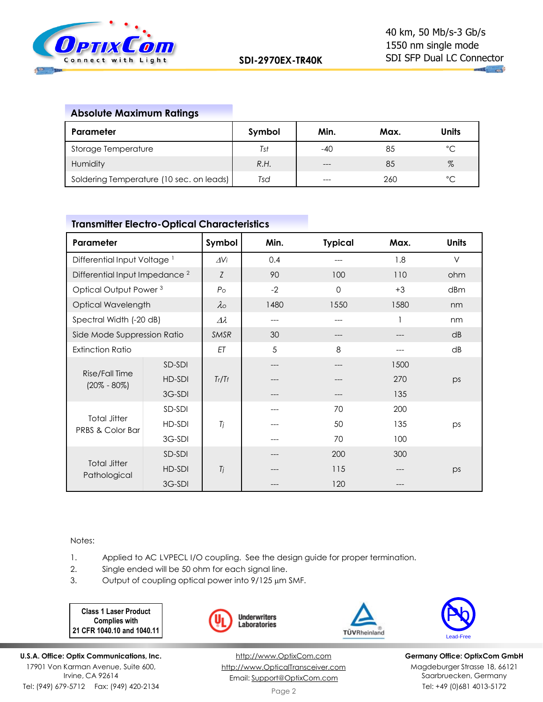

# **Absolute Maximum Ratings**

| Parameter                                | Symbol | Min.  | Max. | <b>Units</b> |
|------------------------------------------|--------|-------|------|--------------|
| Storage Temperature                      | Tst    | -40   | 85   | °C           |
| Humidity                                 | R.H.   | $---$ | 85   | $\%$         |
| Soldering Temperature (10 sec. on leads) | Tsd    |       | 260  | °C           |

# **Transmitter Electro-Optical Characteristics**

| Parameter                                 |        | Symbol             | Min. | <b>Typical</b> | Max. | <b>Units</b> |
|-------------------------------------------|--------|--------------------|------|----------------|------|--------------|
| Differential Input Voltage <sup>1</sup>   |        | $\Delta V_i$       | 0.4  |                | 1.8  | $\vee$       |
| Differential Input Impedance <sup>2</sup> |        | Ζ                  | 90   | 100            | 110  | ohm          |
| Optical Output Power <sup>3</sup>         |        | P <sub>O</sub>     | $-2$ | $\Omega$       | $+3$ | dBm          |
| Optical Wavelength                        |        | $\lambda$          | 1480 | 1550           | 1580 | nm           |
| Spectral Width (-20 dB)                   |        | $\varDelta\lambda$ | ---  |                |      | nm           |
| Side Mode Suppression Ratio               |        | SMSR               | 30   |                |      | dB           |
| <b>Extinction Ratio</b>                   |        | ET                 | 5    | 8              |      | dB           |
|                                           | SD-SDI |                    | ---  |                | 1500 |              |
| Rise/Fall Time<br>$(20\% - 80\%)$         | HD-SDI | Tr/Tf              |      |                | 270  | ps           |
|                                           | 3G-SDI |                    |      |                | 135  |              |
| <b>Total Jitter</b><br>PRBS & Color Bar   | SD-SDI |                    |      | 70             | 200  |              |
|                                           | HD-SDI | Tj                 |      | 50             | 135  | ps           |
|                                           | 3G-SDI |                    |      | 70             | 100  |              |
| <b>Total Jitter</b><br>Pathological       | SD-SDI |                    |      | 200            | 300  |              |
|                                           | HD-SDI | Tj                 |      | 115            |      | ps           |
|                                           | 3G-SDI |                    |      | 120            |      |              |

Notes:

- 1. Applied to AC LVPECL I/O coupling. See the design guide for proper termination.
- 2. Single ended will be 50 ohm for each signal line.
- 3. Output of coupling optical power into  $9/125 \mu m$  SMF.

**Class 1 Laser Product Complies with 21 CFR 1040.10 and 1040.11**







**Germany Office: OptixCom GmbH** Magdeburger Strasse 18, 66121 Saarbruecken, Germany Tel: +49 (0)681 4013-5172

**U.S.A. Office: Optix Communications, Inc.** 17901 Von Karman Avenue, Suite 600, Irvine, CA 92614 Tel: (949) 679-5712 Fax: (949) 420-2134

[http://www.OptixCom.com](http://www.optixcom.com/) [http://www.OpticalTransceiver.com](http://www.optoictech.com/) Email: [Support@OptixCom.com](mailto:Support@optoICtech.com)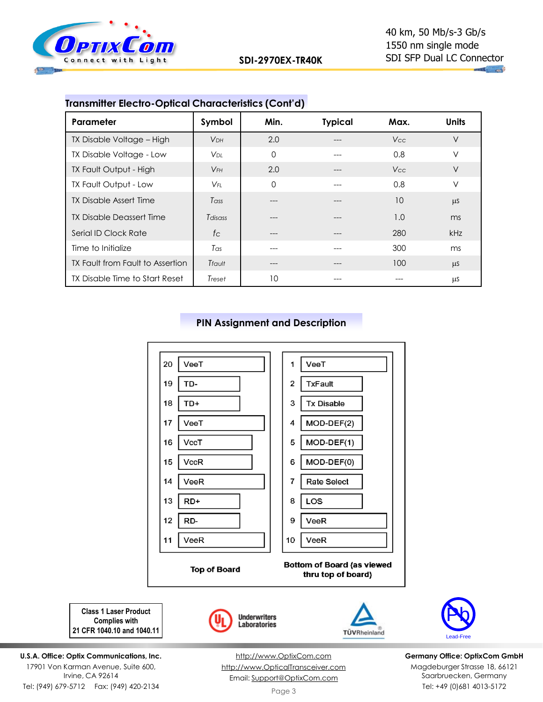

| <u>Hansminde Electro Ophoal Onaldelensiles</u> (Com a) |                       |          |                |                 |              |
|--------------------------------------------------------|-----------------------|----------|----------------|-----------------|--------------|
| Parameter                                              | Symbol                | Min.     | <b>Typical</b> | Max.            | <b>Units</b> |
| TX Disable Voltage - High                              | <b>V<sub>DH</sub></b> | 2.0      | ---            | <b>Vcc</b>      | $\vee$       |
| TX Disable Voltage - Low                               | Vdl.                  | 0        |                | 0.8             | $\vee$       |
| TX Fault Output - High                                 | $V_{FH}$              | 2.0      |                | V <sub>cc</sub> | $\vee$       |
| TX Fault Output - Low                                  | $V_{FL}$              | $\Omega$ |                | 0.8             | $\vee$       |
| TX Disable Assert Time                                 | Tass                  |          |                | 10              | $\mu$ S      |
| <b>TX Disable Deassert Time</b>                        | Tdisass               | ---      |                | 1.0             | ms           |
| Serial ID Clock Rate                                   | $f_{\rm C}$           |          |                | 280             | <b>kHz</b>   |
| Time to Initialize                                     | $T_{\alpha s}$        |          |                | 300             | ms           |
| TX Fault from Fault to Assertion                       | Tfault                | ---      |                | 100             | $\mu$ S      |
| TX Disable Time to Start Reset                         | Treset                | 10       |                |                 | μS           |

## **Transmitter Electro-Optical Characteristics (Cont'd)**







**Germany Office: OptixCom GmbH** Magdeburger Strasse 18, 66121 Saarbruecken, Germany Tel: +49 (0)681 4013-5172

**Complies with 21 CFR 1040.10 and 1040.11**

**U.S.A. Office: Optix Communications, Inc.** 17901 Von Karman Avenue, Suite 600, Irvine, CA 92614 Tel: (949) 679-5712 Fax: (949) 420-2134

[http://www.OptixCom.com](http://www.optixcom.com/) [http://www.OpticalTransceiver.com](http://www.optoictech.com/) Email: [Support@OptixCom.com](mailto:Support@optoICtech.com)

Page 3